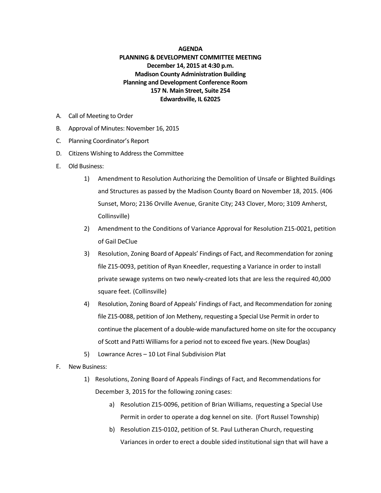## **AGENDA**

## **PLANNING & DEVELOPMENT COMMITTEE MEETING December 14, 2015 at 4:30 p.m. Madison County Administration Building Planning and Development Conference Room 157 N. Main Street, Suite 254 Edwardsville, IL 62025**

- A. Call of Meeting to Order
- B. Approval of Minutes: November 16, 2015
- C. Planning Coordinator's Report
- D. Citizens Wishing to Address the Committee
- E. Old Business:
	- 1) Amendment to Resolution Authorizing the Demolition of Unsafe or Blighted Buildings and Structures as passed by the Madison County Board on November 18, 2015. (406 Sunset, Moro; 2136 Orville Avenue, Granite City; 243 Clover, Moro; 3109 Amherst, Collinsville)
	- 2) Amendment to the Conditions of Variance Approval for Resolution Z15-0021, petition of Gail DeClue
	- 3) Resolution, Zoning Board of Appeals' Findings of Fact, and Recommendation for zoning file Z15-0093, petition of Ryan Kneedler, requesting a Variance in order to install private sewage systems on two newly-created lots that are less the required 40,000 square feet. (Collinsville)
	- 4) Resolution, Zoning Board of Appeals' Findings of Fact, and Recommendation for zoning file Z15-0088, petition of Jon Metheny, requesting a Special Use Permit in order to continue the placement of a double-wide manufactured home on site for the occupancy of Scott and Patti Williams for a period not to exceed five years. (New Douglas)
	- 5) Lowrance Acres 10 Lot Final Subdivision Plat
- F. New Business:
	- 1) Resolutions, Zoning Board of Appeals Findings of Fact, and Recommendations for December 3, 2015 for the following zoning cases:
		- a) Resolution Z15-0096, petition of Brian Williams, requesting a Special Use Permit in order to operate a dog kennel on site. (Fort Russel Township)
		- b) Resolution Z15-0102, petition of St. Paul Lutheran Church, requesting Variances in order to erect a double sided institutional sign that will have a